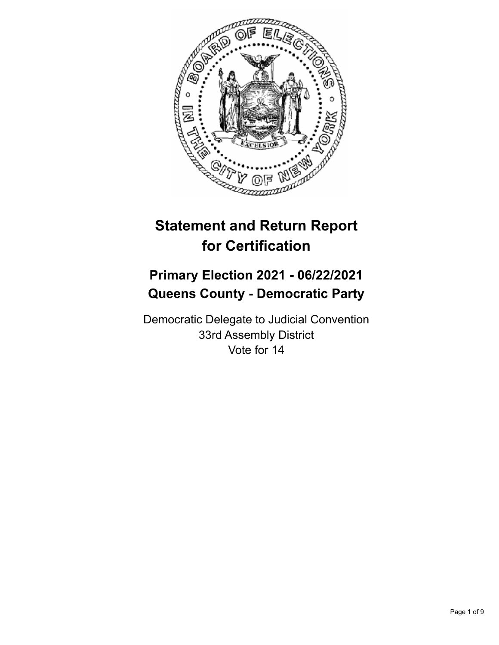

# **Statement and Return Report for Certification**

## **Primary Election 2021 - 06/22/2021 Queens County - Democratic Party**

Democratic Delegate to Judicial Convention 33rd Assembly District Vote for 14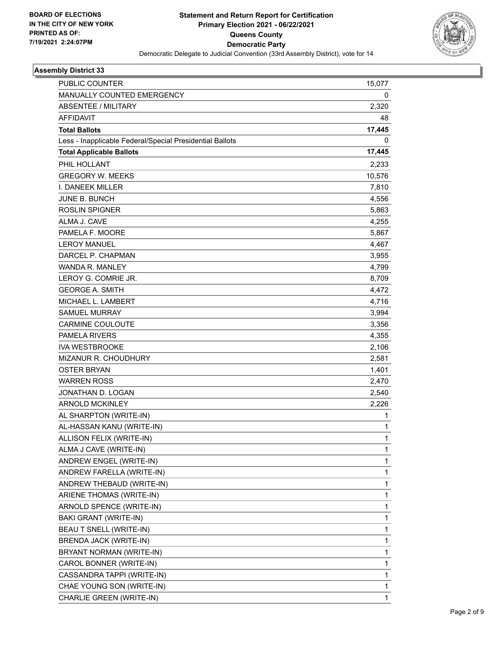

| <b>PUBLIC COUNTER</b>                                    | 15,077       |
|----------------------------------------------------------|--------------|
| MANUALLY COUNTED EMERGENCY                               | 0            |
| <b>ABSENTEE / MILITARY</b>                               | 2,320        |
| <b>AFFIDAVIT</b>                                         | 48           |
| <b>Total Ballots</b>                                     | 17,445       |
| Less - Inapplicable Federal/Special Presidential Ballots | 0            |
| <b>Total Applicable Ballots</b>                          | 17,445       |
| PHIL HOLLANT                                             | 2,233        |
| <b>GREGORY W. MEEKS</b>                                  | 10,576       |
| I. DANEEK MILLER                                         | 7,810        |
| <b>JUNE B. BUNCH</b>                                     | 4,556        |
| <b>ROSLIN SPIGNER</b>                                    | 5,863        |
| ALMA J. CAVE                                             | 4,255        |
| PAMELA F. MOORE                                          | 5,867        |
| <b>LEROY MANUEL</b>                                      | 4,467        |
| DARCEL P. CHAPMAN                                        | 3,955        |
| <b>WANDA R. MANLEY</b>                                   | 4,799        |
| LEROY G. COMRIE JR.                                      | 8,709        |
| <b>GEORGE A. SMITH</b>                                   | 4,472        |
| MICHAEL L. LAMBERT                                       | 4,716        |
| <b>SAMUEL MURRAY</b>                                     | 3,994        |
| <b>CARMINE COULOUTE</b>                                  | 3,356        |
| <b>PAMELA RIVERS</b>                                     | 4,355        |
| <b>IVA WESTBROOKE</b>                                    | 2,106        |
| MIZANUR R. CHOUDHURY                                     | 2,581        |
| OSTER BRYAN                                              | 1,401        |
| <b>WARREN ROSS</b>                                       | 2,470        |
| JONATHAN D. LOGAN                                        | 2,540        |
| <b>ARNOLD MCKINLEY</b>                                   | 2,226        |
| AL SHARPTON (WRITE-IN)                                   | 1            |
| AL-HASSAN KANU (WRITE-IN)                                | $\mathbf{1}$ |
| ALLISON FELIX (WRITE-IN)                                 | 1            |
| ALMA J CAVE (WRITE-IN)                                   | 1            |
| ANDREW ENGEL (WRITE-IN)                                  | 1            |
| ANDREW FARELLA (WRITE-IN)                                | 1            |
| ANDREW THEBAUD (WRITE-IN)                                | 1            |
| ARIENE THOMAS (WRITE-IN)                                 | 1            |
| ARNOLD SPENCE (WRITE-IN)                                 | 1            |
| BAKI GRANT (WRITE-IN)                                    | 1            |
| BEAU T SNELL (WRITE-IN)                                  | 1            |
| BRENDA JACK (WRITE-IN)                                   | 1            |
| BRYANT NORMAN (WRITE-IN)                                 | 1            |
| CAROL BONNER (WRITE-IN)                                  | 1            |
| CASSANDRA TAPPI (WRITE-IN)                               | 1            |
| CHAE YOUNG SON (WRITE-IN)                                | 1            |
| CHARLIE GREEN (WRITE-IN)                                 | $\mathbf{1}$ |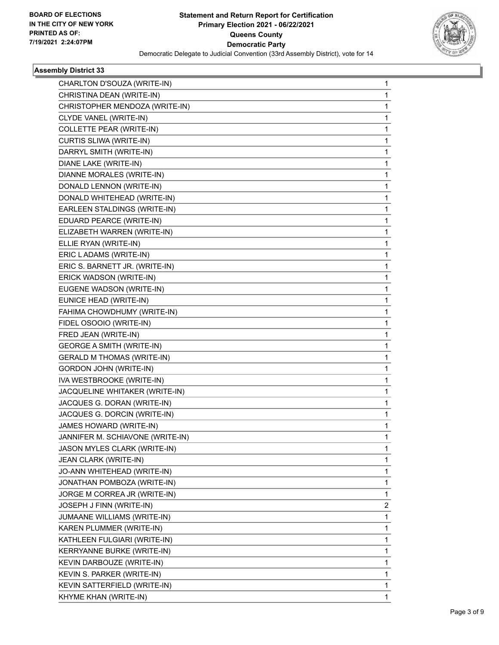

| CHARLTON D'SOUZA (WRITE-IN)       | 1            |
|-----------------------------------|--------------|
| CHRISTINA DEAN (WRITE-IN)         | 1            |
| CHRISTOPHER MENDOZA (WRITE-IN)    | 1            |
| CLYDE VANEL (WRITE-IN)            | 1            |
| <b>COLLETTE PEAR (WRITE-IN)</b>   | 1            |
| CURTIS SLIWA (WRITE-IN)           | 1            |
| DARRYL SMITH (WRITE-IN)           | 1            |
| DIANE LAKE (WRITE-IN)             | 1            |
| DIANNE MORALES (WRITE-IN)         | 1            |
| DONALD LENNON (WRITE-IN)          | 1            |
| DONALD WHITEHEAD (WRITE-IN)       | 1            |
| EARLEEN STALDINGS (WRITE-IN)      | 1            |
| EDUARD PEARCE (WRITE-IN)          | 1            |
| ELIZABETH WARREN (WRITE-IN)       | 1            |
| ELLIE RYAN (WRITE-IN)             | 1            |
| ERIC LADAMS (WRITE-IN)            | 1            |
| ERIC S. BARNETT JR. (WRITE-IN)    | 1            |
| ERICK WADSON (WRITE-IN)           | 1            |
| EUGENE WADSON (WRITE-IN)          | 1            |
| EUNICE HEAD (WRITE-IN)            | 1            |
| FAHIMA CHOWDHUMY (WRITE-IN)       | 1            |
| FIDEL OSOOIO (WRITE-IN)           | 1            |
| FRED JEAN (WRITE-IN)              | 1            |
| <b>GEORGE A SMITH (WRITE-IN)</b>  | $\mathbf{1}$ |
| <b>GERALD M THOMAS (WRITE-IN)</b> | 1            |
| <b>GORDON JOHN (WRITE-IN)</b>     | 1            |
| IVA WESTBROOKE (WRITE-IN)         | 1            |
| JACQUELINE WHITAKER (WRITE-IN)    | 1            |
| JACQUES G. DORAN (WRITE-IN)       | 1            |
| JACQUES G. DORCIN (WRITE-IN)      | 1            |
| JAMES HOWARD (WRITE-IN)           | 1            |
| JANNIFER M. SCHIAVONE (WRITE-IN)  | 1            |
| JASON MYLES CLARK (WRITE-IN)      | 1            |
| JEAN CLARK (WRITE-IN)             | 1            |
| JO-ANN WHITEHEAD (WRITE-IN)       | 1            |
| JONATHAN POMBOZA (WRITE-IN)       | 1            |
| JORGE M CORREA JR (WRITE-IN)      | 1            |
| JOSEPH J FINN (WRITE-IN)          | 2            |
| JUMAANE WILLIAMS (WRITE-IN)       | 1            |
| KAREN PLUMMER (WRITE-IN)          | 1            |
| KATHLEEN FULGIARI (WRITE-IN)      | 1            |
| KERRYANNE BURKE (WRITE-IN)        | 1            |
| KEVIN DARBOUZE (WRITE-IN)         | 1            |
| KEVIN S. PARKER (WRITE-IN)        | 1            |
| KEVIN SATTERFIELD (WRITE-IN)      | 1            |
| KHYME KHAN (WRITE-IN)             | 1            |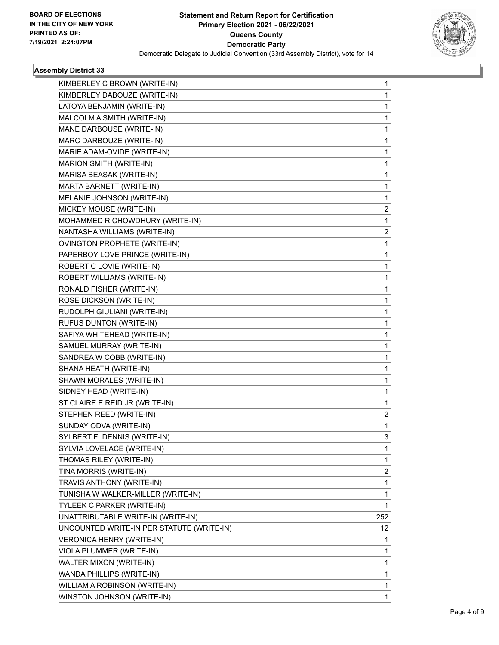

| KIMBERLEY C BROWN (WRITE-IN)              | 1   |
|-------------------------------------------|-----|
| KIMBERLEY DABOUZE (WRITE-IN)              | 1   |
| LATOYA BENJAMIN (WRITE-IN)                | 1   |
| MALCOLM A SMITH (WRITE-IN)                | 1   |
| MANE DARBOUSE (WRITE-IN)                  | 1   |
| MARC DARBOUZE (WRITE-IN)                  | 1   |
| MARIE ADAM-OVIDE (WRITE-IN)               | 1   |
| MARION SMITH (WRITE-IN)                   | 1   |
| MARISA BEASAK (WRITE-IN)                  | 1   |
| MARTA BARNETT (WRITE-IN)                  | 1   |
| MELANIE JOHNSON (WRITE-IN)                | 1   |
| MICKEY MOUSE (WRITE-IN)                   | 2   |
| MOHAMMED R CHOWDHURY (WRITE-IN)           | 1   |
| NANTASHA WILLIAMS (WRITE-IN)              | 2   |
| OVINGTON PROPHETE (WRITE-IN)              | 1   |
| PAPERBOY LOVE PRINCE (WRITE-IN)           | 1   |
| ROBERT C LOVIE (WRITE-IN)                 | 1   |
| ROBERT WILLIAMS (WRITE-IN)                | 1   |
| RONALD FISHER (WRITE-IN)                  | 1   |
| ROSE DICKSON (WRITE-IN)                   | 1   |
| RUDOLPH GIULIANI (WRITE-IN)               | 1   |
| RUFUS DUNTON (WRITE-IN)                   | 1   |
| SAFIYA WHITEHEAD (WRITE-IN)               | 1   |
| SAMUEL MURRAY (WRITE-IN)                  | 1   |
| SANDREA W COBB (WRITE-IN)                 | 1   |
| SHANA HEATH (WRITE-IN)                    | 1   |
| SHAWN MORALES (WRITE-IN)                  | 1   |
| SIDNEY HEAD (WRITE-IN)                    | 1   |
| ST CLAIRE E REID JR (WRITE-IN)            | 1   |
| STEPHEN REED (WRITE-IN)                   | 2   |
| SUNDAY ODVA (WRITE-IN)                    | 1   |
| SYLBERT F. DENNIS (WRITE-IN)              | 3   |
| SYLVIA LOVELACE (WRITE-IN)                | 1   |
| THOMAS RILEY (WRITE-IN)                   | 1   |
| TINA MORRIS (WRITE-IN)                    | 2   |
| TRAVIS ANTHONY (WRITE-IN)                 | 1   |
| TUNISHA W WALKER-MILLER (WRITE-IN)        | 1   |
| TYLEEK C PARKER (WRITE-IN)                | 1   |
| UNATTRIBUTABLE WRITE-IN (WRITE-IN)        | 252 |
| UNCOUNTED WRITE-IN PER STATUTE (WRITE-IN) | 12  |
| VERONICA HENRY (WRITE-IN)                 | 1   |
| VIOLA PLUMMER (WRITE-IN)                  | 1   |
| WALTER MIXON (WRITE-IN)                   | 1   |
| WANDA PHILLIPS (WRITE-IN)                 | 1   |
| WILLIAM A ROBINSON (WRITE-IN)             | 1   |
| WINSTON JOHNSON (WRITE-IN)                | 1   |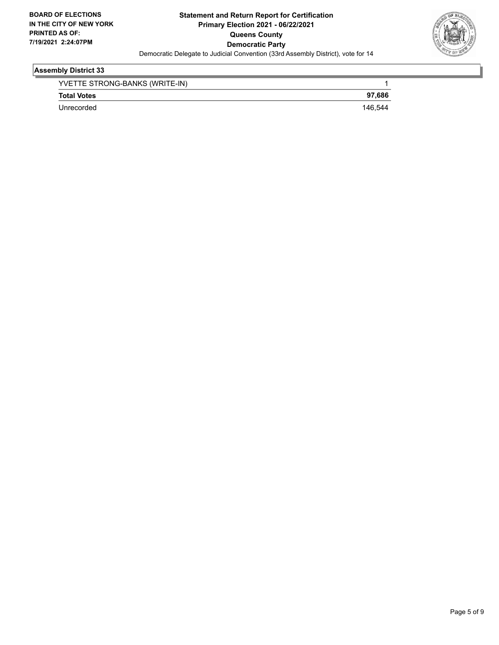

| YVETTE STRONG-BANKS (WRITE-IN) |         |
|--------------------------------|---------|
| <b>Total Votes</b>             | 97.686  |
| Unrecorded                     | 146.544 |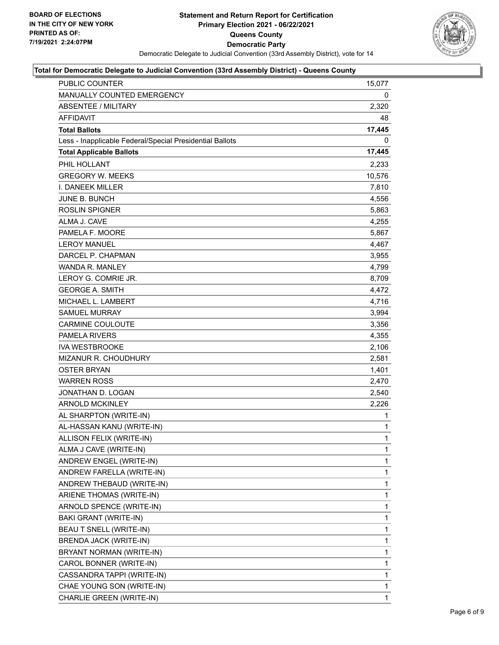

| PUBLIC COUNTER                                           | 15,077       |
|----------------------------------------------------------|--------------|
| MANUALLY COUNTED EMERGENCY                               | 0            |
| <b>ABSENTEE / MILITARY</b>                               | 2,320        |
| <b>AFFIDAVIT</b>                                         | 48           |
| <b>Total Ballots</b>                                     | 17,445       |
| Less - Inapplicable Federal/Special Presidential Ballots | 0            |
| <b>Total Applicable Ballots</b>                          | 17,445       |
| PHIL HOLLANT                                             | 2,233        |
| <b>GREGORY W. MEEKS</b>                                  | 10,576       |
| <b>I. DANEEK MILLER</b>                                  | 7,810        |
| <b>JUNE B. BUNCH</b>                                     | 4,556        |
| <b>ROSLIN SPIGNER</b>                                    | 5,863        |
| ALMA J. CAVE                                             | 4,255        |
| PAMELA F. MOORE                                          | 5,867        |
| <b>LEROY MANUEL</b>                                      | 4,467        |
| DARCEL P. CHAPMAN                                        | 3,955        |
| <b>WANDA R. MANLEY</b>                                   | 4,799        |
| LEROY G. COMRIE JR.                                      | 8,709        |
| <b>GEORGE A. SMITH</b>                                   | 4,472        |
| MICHAEL L. LAMBERT                                       | 4,716        |
| <b>SAMUEL MURRAY</b>                                     | 3,994        |
| <b>CARMINE COULOUTE</b>                                  | 3,356        |
| <b>PAMELA RIVERS</b>                                     | 4,355        |
| <b>IVA WESTBROOKE</b>                                    | 2,106        |
| <b>MIZANUR R. CHOUDHURY</b>                              | 2,581        |
| <b>OSTER BRYAN</b>                                       | 1,401        |
| <b>WARREN ROSS</b>                                       | 2,470        |
| JONATHAN D. LOGAN                                        | 2,540        |
| ARNOLD MCKINLEY                                          | 2,226        |
| AL SHARPTON (WRITE-IN)                                   | 1            |
| AL-HASSAN KANU (WRITE-IN)                                | 1            |
| ALLISON FELIX (WRITE-IN)                                 | $\mathbf{1}$ |
| ALMA J CAVE (WRITE-IN)                                   | 1            |
| ANDREW ENGEL (WRITE-IN)                                  | 1            |
| ANDREW FARELLA (WRITE-IN)                                | 1            |
| ANDREW THEBAUD (WRITE-IN)                                | 1            |
| ARIENE THOMAS (WRITE-IN)                                 | 1            |
| ARNOLD SPENCE (WRITE-IN)                                 | 1            |
| BAKI GRANT (WRITE-IN)                                    | 1            |
| BEAU T SNELL (WRITE-IN)                                  | 1            |
| BRENDA JACK (WRITE-IN)                                   | 1            |
| BRYANT NORMAN (WRITE-IN)                                 | 1            |
| CAROL BONNER (WRITE-IN)                                  | 1            |
| CASSANDRA TAPPI (WRITE-IN)                               | 1            |
| CHAE YOUNG SON (WRITE-IN)                                | 1            |
| CHARLIE GREEN (WRITE-IN)                                 | 1            |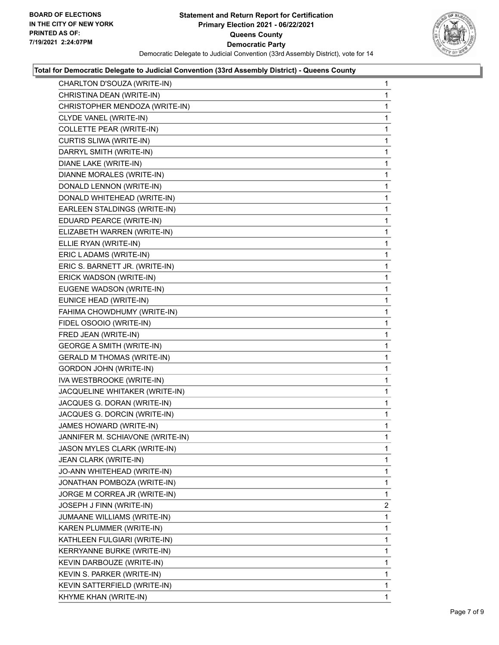

| CHARLTON D'SOUZA (WRITE-IN)       | 1              |
|-----------------------------------|----------------|
| CHRISTINA DEAN (WRITE-IN)         | 1              |
| CHRISTOPHER MENDOZA (WRITE-IN)    | 1              |
| CLYDE VANEL (WRITE-IN)            | 1              |
| COLLETTE PEAR (WRITE-IN)          | 1              |
| CURTIS SLIWA (WRITE-IN)           | 1              |
| DARRYL SMITH (WRITE-IN)           | 1              |
| DIANE LAKE (WRITE-IN)             | 1              |
| DIANNE MORALES (WRITE-IN)         | 1              |
| DONALD LENNON (WRITE-IN)          | 1              |
| DONALD WHITEHEAD (WRITE-IN)       | 1              |
| EARLEEN STALDINGS (WRITE-IN)      | 1              |
| EDUARD PEARCE (WRITE-IN)          | 1              |
| ELIZABETH WARREN (WRITE-IN)       | 1              |
| ELLIE RYAN (WRITE-IN)             | 1              |
| ERIC LADAMS (WRITE-IN)            | 1              |
| ERIC S. BARNETT JR. (WRITE-IN)    | 1              |
| ERICK WADSON (WRITE-IN)           | 1              |
| EUGENE WADSON (WRITE-IN)          | 1              |
| EUNICE HEAD (WRITE-IN)            | 1              |
| FAHIMA CHOWDHUMY (WRITE-IN)       | 1              |
| FIDEL OSOOIO (WRITE-IN)           | 1              |
| FRED JEAN (WRITE-IN)              | 1              |
| <b>GEORGE A SMITH (WRITE-IN)</b>  | 1              |
| <b>GERALD M THOMAS (WRITE-IN)</b> | 1              |
| GORDON JOHN (WRITE-IN)            | 1              |
| IVA WESTBROOKE (WRITE-IN)         | 1              |
| JACQUELINE WHITAKER (WRITE-IN)    | 1              |
| JACQUES G. DORAN (WRITE-IN)       | $\mathbf{1}$   |
| JACQUES G. DORCIN (WRITE-IN)      | 1              |
| JAMES HOWARD (WRITE-IN)           | 1              |
| JANNIFER M. SCHIAVONE (WRITE-IN)  | 1              |
| JASON MYLES CLARK (WRITE-IN)      | 1              |
| JEAN CLARK (WRITE-IN)             | 1              |
| JO-ANN WHITEHEAD (WRITE-IN)       | 1              |
| JONATHAN POMBOZA (WRITE-IN)       | 1              |
| JORGE M CORREA JR (WRITE-IN)      | 1              |
| JOSEPH J FINN (WRITE-IN)          | $\overline{2}$ |
| JUMAANE WILLIAMS (WRITE-IN)       | 1              |
| KAREN PLUMMER (WRITE-IN)          | 1              |
| KATHLEEN FULGIARI (WRITE-IN)      | 1              |
| KERRYANNE BURKE (WRITE-IN)        | 1              |
| KEVIN DARBOUZE (WRITE-IN)         | 1              |
| KEVIN S. PARKER (WRITE-IN)        | 1              |
| KEVIN SATTERFIELD (WRITE-IN)      | 1              |
| KHYME KHAN (WRITE-IN)             | 1              |
|                                   |                |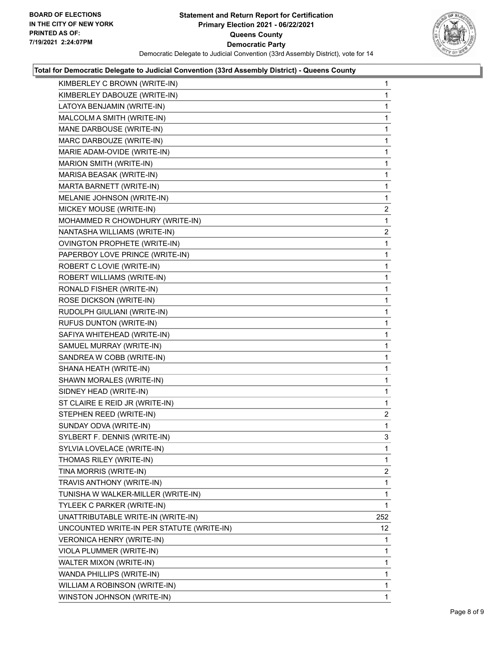

| KIMBERLEY C BROWN (WRITE-IN)              | 1              |
|-------------------------------------------|----------------|
| KIMBERLEY DABOUZE (WRITE-IN)              | 1              |
| LATOYA BENJAMIN (WRITE-IN)                | 1              |
| MALCOLM A SMITH (WRITE-IN)                | $\mathbf 1$    |
| MANE DARBOUSE (WRITE-IN)                  | 1              |
| MARC DARBOUZE (WRITE-IN)                  | 1              |
| MARIE ADAM-OVIDE (WRITE-IN)               | $\mathbf{1}$   |
| MARION SMITH (WRITE-IN)                   | $\mathbf{1}$   |
| MARISA BEASAK (WRITE-IN)                  | 1              |
| MARTA BARNETT (WRITE-IN)                  | $\mathbf{1}$   |
| MELANIE JOHNSON (WRITE-IN)                | 1              |
| MICKEY MOUSE (WRITE-IN)                   | 2              |
| MOHAMMED R CHOWDHURY (WRITE-IN)           | 1              |
| NANTASHA WILLIAMS (WRITE-IN)              | $\overline{2}$ |
| OVINGTON PROPHETE (WRITE-IN)              | 1              |
| PAPERBOY LOVE PRINCE (WRITE-IN)           | $\mathbf{1}$   |
| ROBERT C LOVIE (WRITE-IN)                 | 1              |
| ROBERT WILLIAMS (WRITE-IN)                | 1              |
| RONALD FISHER (WRITE-IN)                  | $\mathbf{1}$   |
| ROSE DICKSON (WRITE-IN)                   | 1              |
| RUDOLPH GIULIANI (WRITE-IN)               | 1              |
| RUFUS DUNTON (WRITE-IN)                   | $\mathbf{1}$   |
| SAFIYA WHITEHEAD (WRITE-IN)               | 1              |
| SAMUEL MURRAY (WRITE-IN)                  | 1              |
| SANDREA W COBB (WRITE-IN)                 | $\mathbf{1}$   |
| SHANA HEATH (WRITE-IN)                    | 1              |
| SHAWN MORALES (WRITE-IN)                  | 1              |
| SIDNEY HEAD (WRITE-IN)                    | $\mathbf{1}$   |
| ST CLAIRE E REID JR (WRITE-IN)            | 1              |
| STEPHEN REED (WRITE-IN)                   | 2              |
| SUNDAY ODVA (WRITE-IN)                    | $\mathbf{1}$   |
| SYLBERT F. DENNIS (WRITE-IN)              | 3              |
| SYLVIA LOVELACE (WRITE-IN)                | 1              |
| THOMAS RILEY (WRITE-IN)                   | 1              |
| TINA MORRIS (WRITE-IN)                    | $\overline{2}$ |
| TRAVIS ANTHONY (WRITE-IN)                 | 1              |
| TUNISHA W WALKER-MILLER (WRITE-IN)        | 1              |
| TYLEEK C PARKER (WRITE-IN)                | 1              |
| UNATTRIBUTABLE WRITE-IN (WRITE-IN)        | 252            |
| UNCOUNTED WRITE-IN PER STATUTE (WRITE-IN) | 12             |
| VERONICA HENRY (WRITE-IN)                 | 1              |
| VIOLA PLUMMER (WRITE-IN)                  | 1              |
| WALTER MIXON (WRITE-IN)                   | 1              |
| WANDA PHILLIPS (WRITE-IN)                 | 1              |
| WILLIAM A ROBINSON (WRITE-IN)             | 1              |
| WINSTON JOHNSON (WRITE-IN)                | $\mathbf{1}$   |